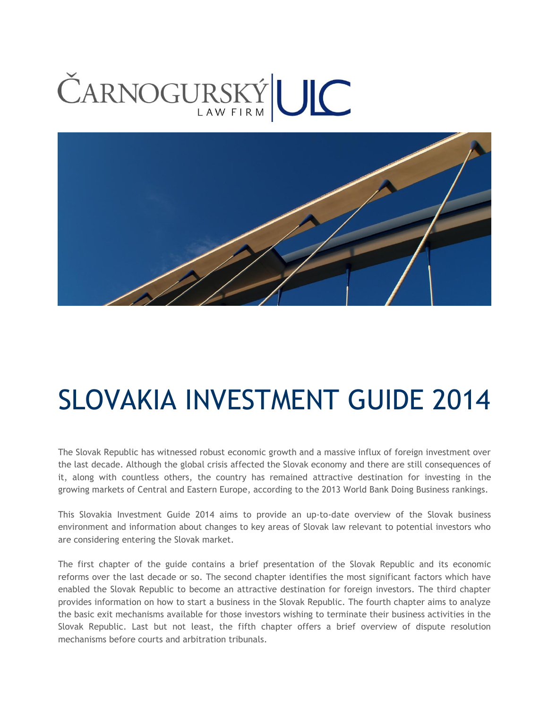# ČARNOGURSKÝLIC



## SLOVAKIA INVESTMENT GUIDE 2014

The Slovak Republic has witnessed robust economic growth and a massive influx of foreign investment over the last decade. Although the global crisis affected the Slovak economy and there are still consequences of it, along with countless others, the country has remained attractive destination for investing in the growing markets of Central and Eastern Europe, according to the 2013 World Bank Doing Business rankings.

This Slovakia Investment Guide 2014 aims to provide an up-to-date overview of the Slovak business environment and information about changes to key areas of Slovak law relevant to potential investors who are considering entering the Slovak market.

The first chapter of the guide contains a brief presentation of the Slovak Republic and its economic reforms over the last decade or so. The second chapter identifies the most significant factors which have enabled the Slovak Republic to become an attractive destination for foreign investors. The third chapter provides information on how to start a business in the Slovak Republic. The fourth chapter aims to analyze the basic exit mechanisms available for those investors wishing to terminate their business activities in the Slovak Republic. Last but not least, the fifth chapter offers a brief overview of dispute resolution mechanisms before courts and arbitration tribunals.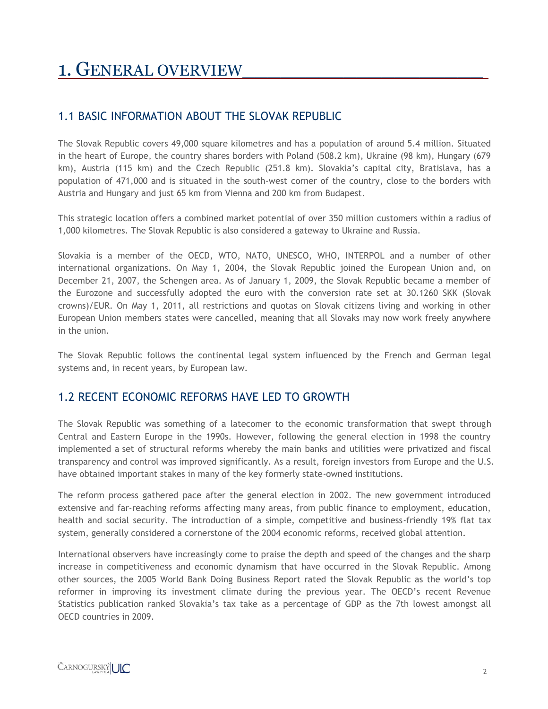## 1. GENERAL OVERVIEW

#### 1.1 BASIC INFORMATION ABOUT THE SLOVAK REPUBLIC

The Slovak Republic covers 49,000 square kilometres and has a population of around 5.4 million. Situated in the heart of Europe, the country shares borders with Poland (508.2 km), Ukraine (98 km), Hungary (679 km), Austria (115 km) and the Czech Republic (251.8 km). Slovakia's capital city, Bratislava, has a population of 471,000 and is situated in the south-west corner of the country, close to the borders with Austria and Hungary and just 65 km from Vienna and 200 km from Budapest.

This strategic location offers a combined market potential of over 350 million customers within a radius of 1,000 kilometres. The Slovak Republic is also considered a gateway to Ukraine and Russia.

Slovakia is a member of the OECD, WTO, NATO, UNESCO, WHO, INTERPOL and a number of other international organizations. On May 1, 2004, the Slovak Republic joined the European Union and, on December 21, 2007, the Schengen area. As of January 1, 2009, the Slovak Republic became a member of the Eurozone and successfully adopted the euro with the conversion rate set at 30.1260 SKK (Slovak crowns)/EUR. On May 1, 2011, all restrictions and quotas on Slovak citizens living and working in other European Union members states were cancelled, meaning that all Slovaks may now work freely anywhere in the union.

The Slovak Republic follows the continental legal system influenced by the French and German legal systems and, in recent years, by European law.

#### 1.2 RECENT ECONOMIC REFORMS HAVE LED TO GROWTH

The Slovak Republic was something of a latecomer to the economic transformation that swept through Central and Eastern Europe in the 1990s. However, following the general election in 1998 the country implemented a set of structural reforms whereby the main banks and utilities were privatized and fiscal transparency and control was improved significantly. As a result, foreign investors from Europe and the U.S. have obtained important stakes in many of the key formerly state-owned institutions.

The reform process gathered pace after the general election in 2002. The new government introduced extensive and far-reaching reforms affecting many areas, from public finance to employment, education, health and social security. The introduction of a simple, competitive and business-friendly 19% flat tax system, generally considered a cornerstone of the 2004 economic reforms, received global attention.

International observers have increasingly come to praise the depth and speed of the changes and the sharp increase in competitiveness and economic dynamism that have occurred in the Slovak Republic. Among other sources, the 2005 World Bank Doing Business Report rated the Slovak Republic as the world's top reformer in improving its investment climate during the previous year. The OECD's recent Revenue Statistics publication ranked Slovakia's tax take as a percentage of GDP as the 7th lowest amongst all OECD countries in 2009.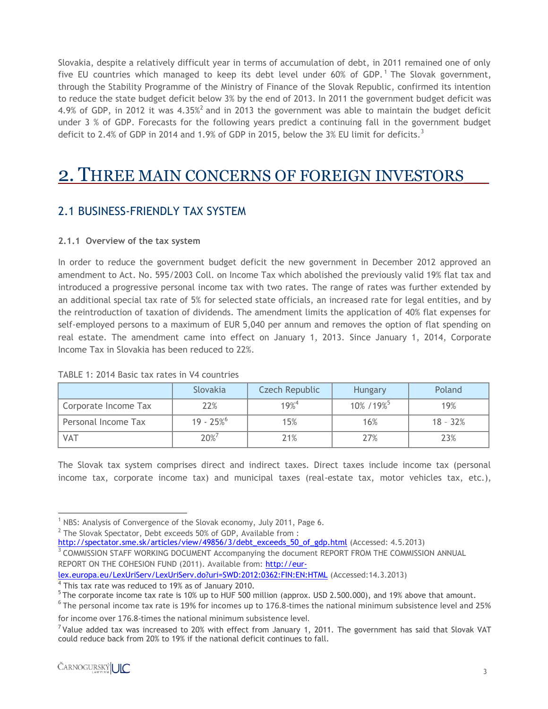Slovakia, despite a relatively difficult year in terms of accumulation of debt, in 2011 remained one of only five EU countries which managed to keep its debt level under  $60\%$  of GDP.<sup>1</sup> The Slovak government, through the Stability Programme of the Ministry of Finance of the Slovak Republic, confirmed its intention to reduce the state budget deficit below 3% by the end of 2013. In 2011 the government budget deficit was 4.9% of GDP, in 2012 it was 4.35%<sup>2</sup> and in 2013 the government was able to maintain the budget deficit under 3 % of GDP. Forecasts for the following years predict a continuing fall in the government budget deficit to 2.4% of GDP in 2014 and 1.9% of GDP in 2015, below the 3% EU limit for deficits.<sup>3</sup>

### 2. THREE MAIN CONCERNS OF FOREIGN INVESTORS\_\_

#### 2.1 BUSINESS-FRIENDLY TAX SYSTEM

#### **2.1.1 Overview of the tax system**

In order to reduce the government budget deficit the new government in December 2012 approved an amendment to Act. No. 595/2003 Coll. on Income Tax which abolished the previously valid 19% flat tax and introduced a progressive personal income tax with two rates. The range of rates was further extended by an additional special tax rate of 5% for selected state officials, an increased rate for legal entities, and by the reintroduction of taxation of dividends. The amendment limits the application of 40% flat expenses for self-employed persons to a maximum of EUR 5,040 per annum and removes the option of flat spending on real estate. The amendment came into effect on January 1, 2013. Since January 1, 2014, Corporate Income Tax in Slovakia has been reduced to 22%.

|                      | Slovakia   | Czech Republic | <b>Hungary</b> | Poland     |
|----------------------|------------|----------------|----------------|------------|
| Corporate Income Tax | 22%        | $19%^{4}$      | 10% / 19%      | 19%        |
| Personal Income Tax  | $19 - 25%$ | 15%            | 16%            | $18 - 32%$ |
| <b>VAT</b>           | 20%7       | 21%            | 27%            | 23%        |

#### TABLE 1: 2014 Basic tax rates in V4 countries

The Slovak tax system comprises direct and indirect taxes. Direct taxes include income tax (personal income tax, corporate income tax) and municipal taxes (real-estate tax, motor vehicles tax, etc.),

 $\overline{\phantom{a}}$  $1$  NBS: Analysis of Convergence of the Slovak economy, July 2011, Page 6.

 $^2$  The Slovak Spectator, Debt exceeds 50% of GDP, Available from :

[http://spectator.sme.sk/articles/view/49856/3/debt\\_exceeds\\_50\\_of\\_gdp.html](http://spectator.sme.sk/articles/view/49856/3/debt_exceeds_50_of_gdp.html) (Accessed: 4.5.2013)

<sup>&</sup>lt;sup>3</sup> COMMISSION STAFF WORKING DOCUMENT Accompanying the document REPORT FROM THE COMMISSION ANNUAL REPORT ON THE COHESION FUND (2011). Available from: [http://eur-](http://eur-lex.europa.eu/LexUriServ/LexUriServ.do?uri=SWD:2012:0362:FIN:EN:HTML)

[lex.europa.eu/LexUriServ/LexUriServ.do?uri=SWD:2012:0362:FIN:EN:HTML](http://eur-lex.europa.eu/LexUriServ/LexUriServ.do?uri=SWD:2012:0362:FIN:EN:HTML) (Accessed:14.3.2013)

<sup>&</sup>lt;sup>4</sup> This tax rate was reduced to 19% as of January 2010.

 $5$ The corporate income tax rate is 10% up to HUF 500 million (approx. USD 2.500.000), and 19% above that amount.

 $^6$  The personal income tax rate is 19% for incomes up to 176.8-times the national minimum subsistence level and 25% for income over 176.8-times the national minimum subsistence level.

 $7$  Value added tax was increased to 20% with effect from January 1, 2011. The government has said that Slovak VAT could reduce back from 20% to 19% if the national deficit continues to fall.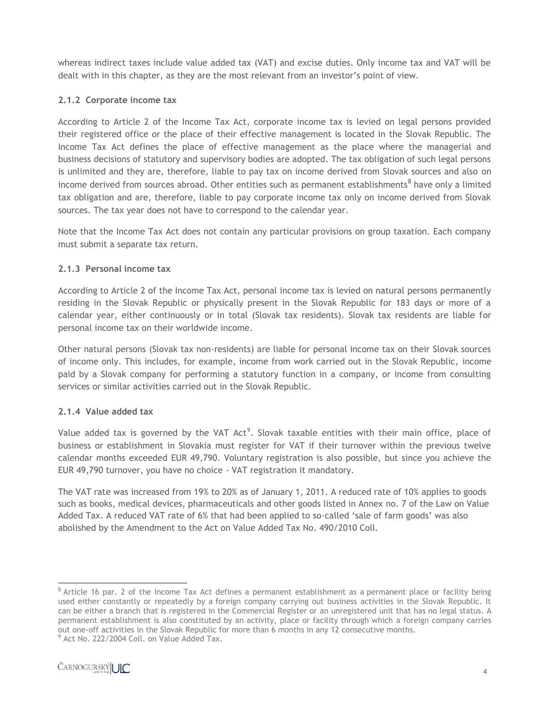whereas indirect taxes include value added tax (VAT) and excise duties. Only income tax and VAT will be dealt with in this chapter, as they are the most relevant from an investor's point of view.

#### **2.1.2 Corporate income tax**

According to Article 2 of the Income Tax Act, corporate income tax is levied on legal persons provided their registered office or the place of their effective management is located in the Slovak Republic. The Income Tax Act defines the place of effective management as the place where the managerial and business decisions of statutory and supervisory bodies are adopted. The tax obligation of such legal persons is unlimited and they are, therefore, liable to pay tax on income derived from Slovak sources and also on income derived from sources abroad. Other entities such as permanent establishments ${}^{8}$  have only a limited tax obligation and are, therefore, liable to pay corporate income tax only on income derived from Slovak sources. The tax year does not have to correspond to the calendar year.

Note that the Income Tax Act does not contain any particular provisions on group taxation. Each company must submit a separate tax return.

#### **2.1.3 Personal income tax**

According to Article 2 of the Income Tax Act, personal income tax is levied on natural persons permanently residing in the Slovak Republic or physically present in the Slovak Republic for 183 days or more of a calendar year, either continuously or in total (Slovak tax residents). Slovak tax residents are liable for personal income tax on their worldwide income.

Other natural persons (Slovak tax non-residents) are liable for personal income tax on their Slovak sources of income only. This includes, for example, income from work carried out in the Slovak Republic, income paid by a Slovak company for performing a statutory function in a company, or income from consulting services or similar activities carried out in the Slovak Republic.

#### **2.1.4 Value added tax**

Value added tax is governed by the VAT Act<sup>9</sup>. Slovak taxable entities with their main office, place of business or establishment in Slovakia must register for VAT if their turnover within the previous twelve calendar months exceeded EUR 49,790. Voluntary registration is also possible, but since you achieve the EUR 49,790 turnover, you have no choice - VAT registration it mandatory.

The VAT rate was increased from 19% to 20% as of January 1, 2011. A reduced rate of 10% applies to goods such as books, medical devices, pharmaceuticals and other goods listed in Annex no. 7 of the Law on Value Added Tax. A reduced VAT rate of 6% that had been applied to so-called 'sale of farm goods' was also abolished by the Amendment to the Act on Value Added Tax No. 490/2010 Coll.

l  $8$  Article 16 par. 2 of the Income Tax Act defines a permanent establishment as a permanent place or facility being used either constantly or repeatedly by a foreign company carrying out business activities in the Slovak Republic. It can be either a branch that is registered in the Commercial Register or an unregistered unit that has no legal status. A permanent establishment is also constituted by an activity, place or facility through which a foreign company carries out one-off activities in the Slovak Republic for more than 6 months in any 12 consecutive months.

 $^9$  Act No. 222/2004 Coll. on Value Added Tax.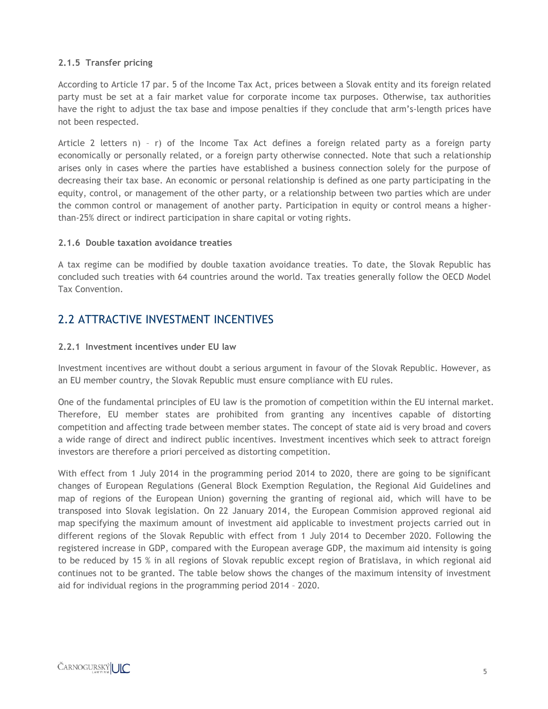#### **2.1.5 Transfer pricing**

According to Article 17 par. 5 of the Income Tax Act, prices between a Slovak entity and its foreign related party must be set at a fair market value for corporate income tax purposes. Otherwise, tax authorities have the right to adjust the tax base and impose penalties if they conclude that arm's-length prices have not been respected.

Article 2 letters n) – r) of the Income Tax Act defines a foreign related party as a foreign party economically or personally related, or a foreign party otherwise connected. Note that such a relationship arises only in cases where the parties have established a business connection solely for the purpose of decreasing their tax base. An economic or personal relationship is defined as one party participating in the equity, control, or management of the other party, or a relationship between two parties which are under the common control or management of another party. Participation in equity or control means a higherthan-25% direct or indirect participation in share capital or voting rights.

#### **2.1.6 Double taxation avoidance treaties**

A tax regime can be modified by double taxation avoidance treaties. To date, the Slovak Republic has concluded such treaties with 64 countries around the world. Tax treaties generally follow the OECD Model Tax Convention.

#### 2.2 ATTRACTIVE INVESTMENT INCENTIVES

#### **2.2.1 Investment incentives under EU law**

Investment incentives are without doubt a serious argument in favour of the Slovak Republic. However, as an EU member country, the Slovak Republic must ensure compliance with EU rules.

One of the fundamental principles of EU law is the promotion of competition within the EU internal market. Therefore, EU member states are prohibited from granting any incentives capable of distorting competition and affecting trade between member states. The concept of state aid is very broad and covers a wide range of direct and indirect public incentives. Investment incentives which seek to attract foreign investors are therefore a priori perceived as distorting competition.

With effect from 1 July 2014 in the programming period 2014 to 2020, there are going to be significant changes of European Regulations (General Block Exemption Regulation, the Regional Aid Guidelines and map of regions of the European Union) governing the granting of regional aid, which will have to be transposed into Slovak legislation. On 22 January 2014, the European Commision approved regional aid map specifying the maximum amount of investment aid applicable to investment projects carried out in different regions of the Slovak Republic with effect from 1 July 2014 to December 2020. Following the registered increase in GDP, compared with the European average GDP, the maximum aid intensity is going to be reduced by 15 % in all regions of Slovak republic except region of Bratislava, in which regional aid continues not to be granted. The table below shows the changes of the maximum intensity of investment aid for individual regions in the programming period 2014 – 2020.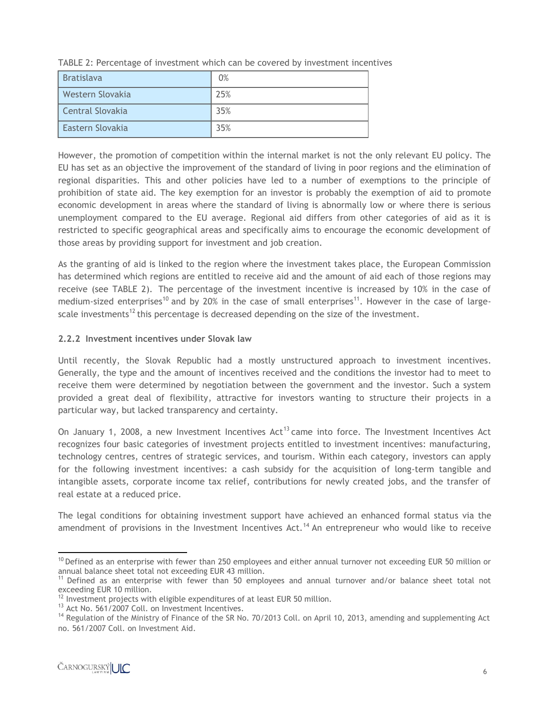| <b>Bratislava</b> | 0%  |
|-------------------|-----|
| Western Slovakia  | 25% |
| Central Slovakia  | 35% |
| Eastern Slovakia  | 35% |

TABLE 2: Percentage of investment which can be covered by investment incentives

However, the promotion of competition within the internal market is not the only relevant EU policy. The EU has set as an objective the improvement of the standard of living in poor regions and the elimination of regional disparities. This and other policies have led to a number of exemptions to the principle of prohibition of state aid. The key exemption for an investor is probably the exemption of aid to promote economic development in areas where the standard of living is abnormally low or where there is serious unemployment compared to the EU average. Regional aid differs from other categories of aid as it is restricted to specific geographical areas and specifically aims to encourage the economic development of those areas by providing support for investment and job creation.

As the granting of aid is linked to the region where the investment takes place, the European Commission has determined which regions are entitled to receive aid and the amount of aid each of those regions may receive (see TABLE 2). The percentage of the investment incentive is increased by 10% in the case of medium-sized enterprises<sup>10</sup> and by 20% in the case of small enterprises<sup>11</sup>. However in the case of largescale investments<sup>12</sup> this percentage is decreased depending on the size of the investment.

#### **2.2.2 Investment incentives under Slovak law**

Until recently, the Slovak Republic had a mostly unstructured approach to investment incentives. Generally, the type and the amount of incentives received and the conditions the investor had to meet to receive them were determined by negotiation between the government and the investor. Such a system provided a great deal of flexibility, attractive for investors wanting to structure their projects in a particular way, but lacked transparency and certainty.

On January 1, 2008, a new Investment Incentives  $Act^{13}$  came into force. The Investment Incentives Act recognizes four basic categories of investment projects entitled to investment incentives: manufacturing, technology centres, centres of strategic services, and tourism. Within each category, investors can apply for the following investment incentives: a cash subsidy for the acquisition of long-term tangible and intangible assets, corporate income tax relief, contributions for newly created jobs, and the transfer of real estate at a reduced price.

The legal conditions for obtaining investment support have achieved an enhanced formal status via the amendment of provisions in the Investment Incentives Act.<sup>14</sup> An entrepreneur who would like to receive

 $\overline{\phantom{a}}$  $10$  Defined as an enterprise with fewer than 250 employees and either annual turnover not exceeding EUR 50 million or annual balance sheet total not exceeding EUR 43 million.

<sup>&</sup>lt;sup>11</sup> Defined as an enterprise with fewer than 50 employees and annual turnover and/or balance sheet total not exceeding EUR 10 million.

 $12$  Investment projects with eligible expenditures of at least EUR 50 million.

<sup>&</sup>lt;sup>13</sup> Act No. 561/2007 Coll. on Investment Incentives.

<sup>&</sup>lt;sup>14</sup> Regulation of the Ministry of Finance of the SR No. 70/2013 Coll. on April 10, 2013, amending and supplementing Act no. 561/2007 Coll. on Investment Aid.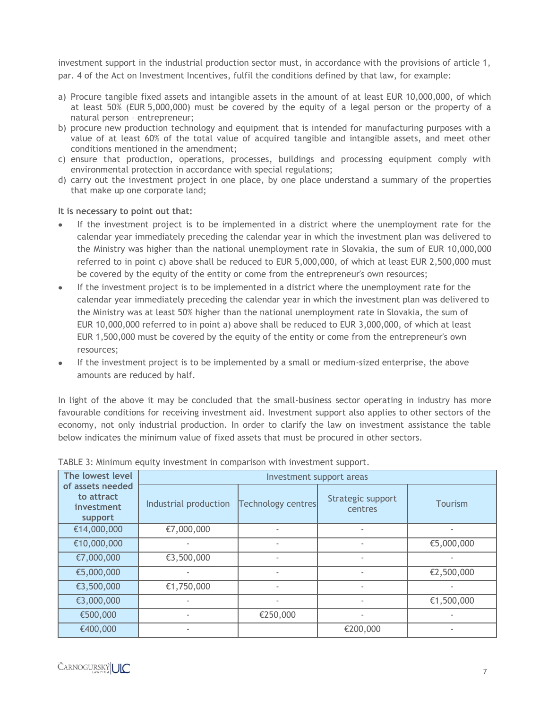investment support in the industrial production sector must, in accordance with the provisions of article 1, par. 4 of the Act on Investment Incentives, fulfil the conditions defined by that law, for example:

- a) Procure tangible fixed assets and intangible assets in the amount of at least EUR 10,000,000, of which at least 50% (EUR 5,000,000) must be covered by the equity of a legal person or the property of a natural person – entrepreneur;
- b) procure new production technology and equipment that is intended for manufacturing purposes with a value of at least 60% of the total value of acquired tangible and intangible assets, and meet other conditions mentioned in the amendment;
- c) ensure that production, operations, processes, buildings and processing equipment comply with environmental protection in accordance with special regulations;
- d) carry out the investment project in one place, by one place understand a summary of the properties that make up one corporate land;

#### **It is necessary to point out that:**

- If the investment project is to be implemented in a district where the unemployment rate for the calendar year immediately preceding the calendar year in which the investment plan was delivered to the Ministry was higher than the national unemployment rate in Slovakia, the sum of EUR 10,000,000 referred to in point c) above shall be reduced to EUR 5,000,000, of which at least EUR 2,500,000 must be covered by the equity of the entity or come from the entrepreneur's own resources;
- If the investment project is to be implemented in a district where the unemployment rate for the  $\bullet$ calendar year immediately preceding the calendar year in which the investment plan was delivered to the Ministry was at least 50% higher than the national unemployment rate in Slovakia, the sum of EUR 10,000,000 referred to in point a) above shall be reduced to EUR 3,000,000, of which at least EUR 1,500,000 must be covered by the equity of the entity or come from the entrepreneur's own resources;
- If the investment project is to be implemented by a small or medium-sized enterprise, the above amounts are reduced by half.

In light of the above it may be concluded that the small-business sector operating in industry has more favourable conditions for receiving investment aid. Investment support also applies to other sectors of the economy, not only industrial production. In order to clarify the law on investment assistance the table below indicates the minimum value of fixed assets that must be procured in other sectors.

| The lowest level                                        | Investment support areas |                          |                              |                          |  |  |  |  |  |
|---------------------------------------------------------|--------------------------|--------------------------|------------------------------|--------------------------|--|--|--|--|--|
| of assets needed<br>to attract<br>investment<br>support | Industrial production    | Technology centres       | Strategic support<br>centres | Tourism                  |  |  |  |  |  |
| €14,000,000                                             | €7,000,000               | ٠                        |                              |                          |  |  |  |  |  |
| €10,000,000                                             |                          | ٠                        |                              | €5,000,000               |  |  |  |  |  |
| €7,000,000                                              | €3,500,000               | ٠                        |                              |                          |  |  |  |  |  |
| €5,000,000                                              |                          | ۰                        |                              | €2,500,000               |  |  |  |  |  |
| €3,500,000                                              | €1,750,000               | ٠                        | $\overline{\phantom{a}}$     |                          |  |  |  |  |  |
| €3,000,000                                              | ۰                        | $\overline{\phantom{a}}$ | $\overline{\phantom{a}}$     | €1,500,000               |  |  |  |  |  |
| €500,000                                                |                          | €250,000                 | $\overline{\phantom{a}}$     |                          |  |  |  |  |  |
| €400,000                                                | ۰                        |                          | €200,000                     | $\overline{\phantom{a}}$ |  |  |  |  |  |

TABLE 3: Minimum equity investment in comparison with investment support.

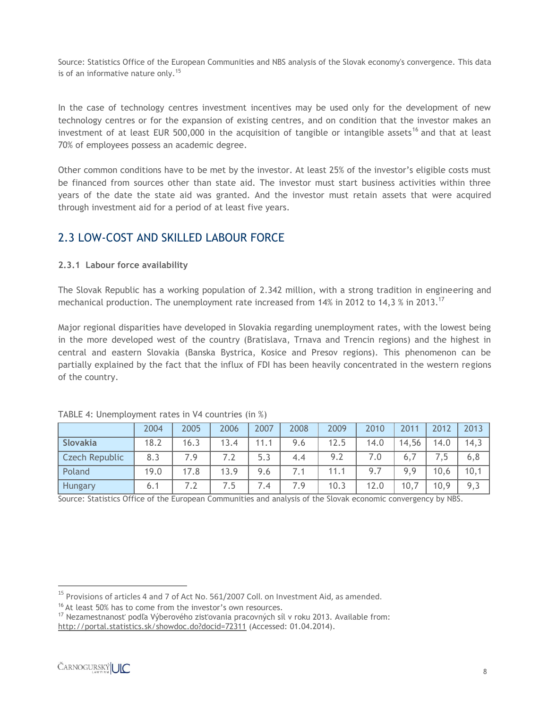Source: Statistics Office of the European Communities and NBS analysis of the Slovak economy's convergence. This data is of an informative nature only.<sup>15</sup>

In the case of technology centres investment incentives may be used only for the development of new technology centres or for the expansion of existing centres, and on condition that the investor makes an investment of at least EUR 500,000 in the acquisition of tangible or intangible assets<sup>16</sup> and that at least 70% of employees possess an academic degree.

Other common conditions have to be met by the investor. At least 25% of the investor's eligible costs must be financed from sources other than state aid. The investor must start business activities within three years of the date the state aid was granted. And the investor must retain assets that were acquired through investment aid for a period of at least five years.

#### 2.3 LOW-COST AND SKILLED LABOUR FORCE

#### **2.3.1 Labour force availability**

The Slovak Republic has a working population of 2.342 million, with a strong tradition in engineering and mechanical production. The unemployment rate increased from 14% in 2012 to 14,3 % in 2013.<sup>17</sup>

Major regional disparities have developed in Slovakia regarding unemployment rates, with the lowest being in the more developed west of the country (Bratislava, Trnava and Trencin regions) and the highest in central and eastern Slovakia (Banska Bystrica, Kosice and Presov regions). This phenomenon can be partially explained by the fact that the influx of FDI has been heavily concentrated in the western regions of the country.

|                       | 2004 | 2005 | 2006 | 2007 | 2008 | 2009 | 2010 | 2011                        | 2012 | 2013 |
|-----------------------|------|------|------|------|------|------|------|-----------------------------|------|------|
| Slovakia              | 18.2 | 16.3 | 13.4 | 11.1 | 9.6  | 12.5 | 14.0 | 14,56                       | 14.0 | 14,3 |
| <b>Czech Republic</b> | 8.3  | 7 Q  | 7.2  | 5.3  | 4.4  | 9.2  | 7.0  | $\mathfrak{b},\mathfrak{b}$ |      | 6, 8 |
| Poland                | 19.0 | 17.8 | 13.9 | 9.6  | 7.1  | 11.  | 9.7  | 9,9                         | 10,6 | 10,1 |
| Hungary               | 6.1  |      | 7.5  | 7.4  | 7.9  | 10.3 | 12.0 | 10,7                        | 10,9 | 9,3  |

| TABLE 4: Unemployment rates in V4 countries (in %) |  |  |  |
|----------------------------------------------------|--|--|--|
|                                                    |  |  |  |

Source: Statistics Office of the European Communities and analysis of the Slovak economic convergency by NBS.

l

 $^{15}$  Provisions of articles 4 and 7 of Act No. 561/2007 Coll. on Investment Aid, as amended.

<sup>&</sup>lt;sup>16</sup> At least 50% has to come from the investor's own resources.

<sup>&</sup>lt;sup>17</sup> Nezamestnanosť podľa Výberového zisťovania pracovných síl v roku 2013. Available from: http://portal.statistics.sk/showdoc.do?docid=72311 (Accessed: 01.04.2014).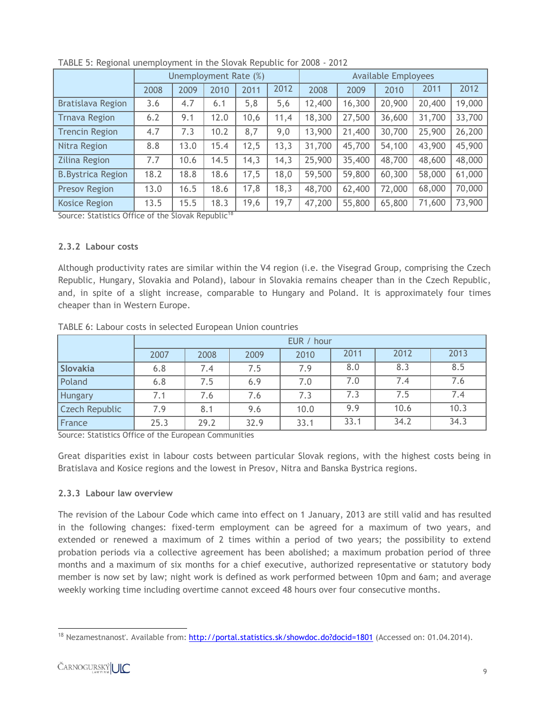|                           | Unemployment Rate (%) |      |      |      |      |        |        | <b>Available Employees</b> |        |        |  |  |  |
|---------------------------|-----------------------|------|------|------|------|--------|--------|----------------------------|--------|--------|--|--|--|
|                           | 2008                  | 2009 | 2010 | 2011 | 2012 | 2008   | 2009   | 2010                       | 2011   | 2012   |  |  |  |
| <b>Bratislava Region</b>  | 3.6                   | 4.7  | 6.1  | 5,8  | 5,6  | 12,400 | 16,300 | 20,900                     | 20,400 | 19,000 |  |  |  |
| <b>Trnava Region</b>      | 6.2                   | 9.1  | 12.0 | 10,6 | 11,4 | 18,300 | 27,500 | 36,600                     | 31,700 | 33,700 |  |  |  |
| <b>Trencin Region</b>     | 4.7                   | 7.3  | 10.2 | 8,7  | 9,0  | 13,900 | 21,400 | 30,700                     | 25,900 | 26,200 |  |  |  |
| Nitra Region              | 8.8                   | 13.0 | 15.4 | 12,5 | 13,3 | 31,700 | 45,700 | 54,100                     | 43,900 | 45,900 |  |  |  |
| <b>Zilina Region</b>      | 7.7                   | 10.6 | 14.5 | 14,3 | 14,3 | 25,900 | 35,400 | 48,700                     | 48,600 | 48,000 |  |  |  |
| <b>B.</b> Bystrica Region | 18.2                  | 18.8 | 18.6 | 17,5 | 18,0 | 59,500 | 59,800 | 60,300                     | 58,000 | 61,000 |  |  |  |
| <b>Presov Region</b>      | 13.0                  | 16.5 | 18.6 | 17,8 | 18,3 | 48,700 | 62,400 | 72,000                     | 68,000 | 70,000 |  |  |  |
| <b>Kosice Region</b>      | 13.5                  | 15.5 | 18.3 | 19,6 | 19,7 | 47,200 | 55,800 | 65,800                     | 71,600 | 73,900 |  |  |  |

TABLE 5: Regional unemployment in the Slovak Republic for 2008 - 2012

Source: Statistics Office of the Slovak Republic<sup>18</sup>

#### **2.3.2 Labour costs**

Although productivity rates are similar within the V4 region (i.e. the Visegrad Group, comprising the Czech Republic, Hungary, Slovakia and Poland), labour in Slovakia remains cheaper than in the Czech Republic, and, in spite of a slight increase, comparable to Hungary and Poland. It is approximately four times cheaper than in Western Europe.

|                       | EUR / hour |      |      |      |      |      |      |  |  |  |  |
|-----------------------|------------|------|------|------|------|------|------|--|--|--|--|
|                       | 2007       | 2008 | 2009 | 2010 | 2011 | 2012 | 2013 |  |  |  |  |
| Slovakia              | 6.8        | 7.4  | 7.5  | 7.9  | 8.0  | 8.3  | 8.5  |  |  |  |  |
| Poland                | 6.8        | 7.5  | 6.9  | 7.0  | 7.0  | 7.4  | 7.6  |  |  |  |  |
| <b>Hungary</b>        | 7.1        | 7.6  | 7.6  | 7.3  | 7.3  | 7.5  | 7.4  |  |  |  |  |
| <b>Czech Republic</b> | 7.9        | 8.1  | 9.6  | 10.0 | 9.9  | 10.6 | 10.3 |  |  |  |  |
| France                | 25.3       | 29.2 | 32.9 | 33.1 | 33.1 | 34.2 | 34.3 |  |  |  |  |

TABLE 6: Labour costs in selected European Union countries

Source: Statistics Office of the European Communities

Great disparities exist in labour costs between particular Slovak regions, with the highest costs being in Bratislava and Kosice regions and the lowest in Presov, Nitra and Banska Bystrica regions.

#### **2.3.3 Labour law overview**

The revision of the Labour Code which came into effect on 1 January, 2013 are still valid and has resulted in the following changes: fixed-term employment can be agreed for a maximum of two years, and extended or renewed a maximum of 2 times within a period of two years; the possibility to extend probation periods via a collective agreement has been abolished; a maximum probation period of three months and a maximum of six months for a chief executive, authorized representative or statutory body member is now set by law; night work is defined as work performed between 10pm and 6am; and average weekly working time including overtime cannot exceed 48 hours over four consecutive months.

 $\overline{\phantom{a}}$ <sup>18</sup> Nezamestnanosť. Available from: <http://portal.statistics.sk/showdoc.do?docid=1801> (Accessed on: 01.04.2014).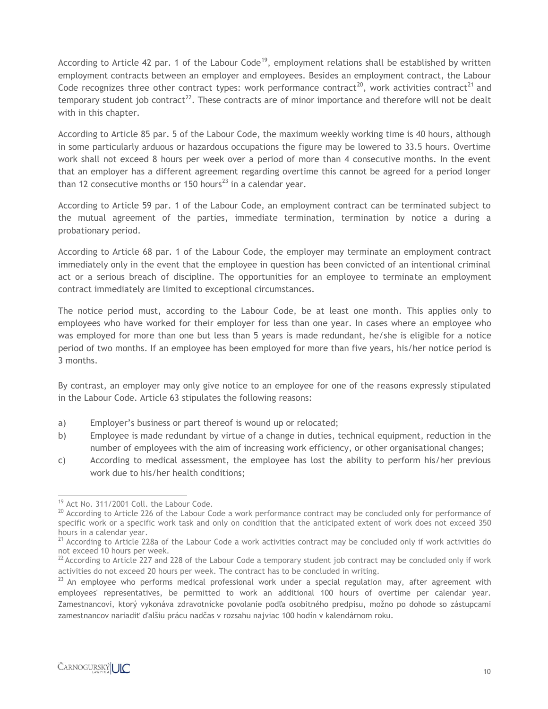According to Article 42 par. 1 of the Labour Code<sup>19</sup>, employment relations shall be established by written employment contracts between an employer and employees. Besides an employment contract, the Labour Code recognizes three other contract types: work performance contract<sup>20</sup>, work activities contract<sup>21</sup> and temporary student job contract<sup>22</sup>. These contracts are of minor importance and therefore will not be dealt with in this chapter.

According to Article 85 par. 5 of the Labour Code, the maximum weekly working time is 40 hours, although in some particularly arduous or hazardous occupations the figure may be lowered to 33.5 hours. Overtime work shall not exceed 8 hours per week over a period of more than 4 consecutive months. In the event that an employer has a different agreement regarding overtime this cannot be agreed for a period longer than 12 consecutive months or 150 hours<sup>23</sup> in a calendar year.

According to Article 59 par. 1 of the Labour Code, an employment contract can be terminated subject to the mutual agreement of the parties, immediate termination, termination by notice a during a probationary period.

According to Article 68 par. 1 of the Labour Code, the employer may terminate an employment contract immediately only in the event that the employee in question has been convicted of an intentional criminal act or a serious breach of discipline. The opportunities for an employee to terminate an employment contract immediately are limited to exceptional circumstances.

The notice period must, according to the Labour Code, be at least one month. This applies only to employees who have worked for their employer for less than one year. In cases where an employee who was employed for more than one but less than 5 years is made redundant, he/she is eligible for a notice period of two months. If an employee has been employed for more than five years, his/her notice period is 3 months.

By contrast, an employer may only give notice to an employee for one of the reasons expressly stipulated in the Labour Code. Article 63 stipulates the following reasons:

- a) Employer's business or part thereof is wound up or relocated;
- b) Employee is made redundant by virtue of a change in duties, technical equipment, reduction in the number of employees with the aim of increasing work efficiency, or other organisational changes;
- c) According to medical assessment, the employee has lost the ability to perform his/her previous work due to his/her health conditions;

 $\overline{\phantom{a}}$ <sup>19</sup> Act No. 311/2001 Coll. the Labour Code.

<sup>&</sup>lt;sup>20</sup> According to Article 226 of the Labour Code a work performance contract may be concluded only for performance of specific work or a specific work task and only on condition that the anticipated extent of work does not exceed 350 hours in a calendar year.

 $21$  According to Article 228a of the Labour Code a work activities contract may be concluded only if work activities do not exceed 10 hours per week.

 $^{22}$  According to Article 227 and 228 of the Labour Code a temporary student job contract may be concluded only if work activities do not exceed 20 hours per week. The contract has to be concluded in writing.

 $23$  An employee who performs medical professional work under a special regulation may, after agreement with employees' representatives, be permitted to work an additional 100 hours of overtime per calendar year. Zamestnancovi, ktorý vykonáva zdravotnícke povolanie podľa osobitného predpisu, možno po dohode so zástupcami zamestnancov nariadiť ďalšiu prácu nadčas v rozsahu najviac 100 hodín v kalendárnom roku.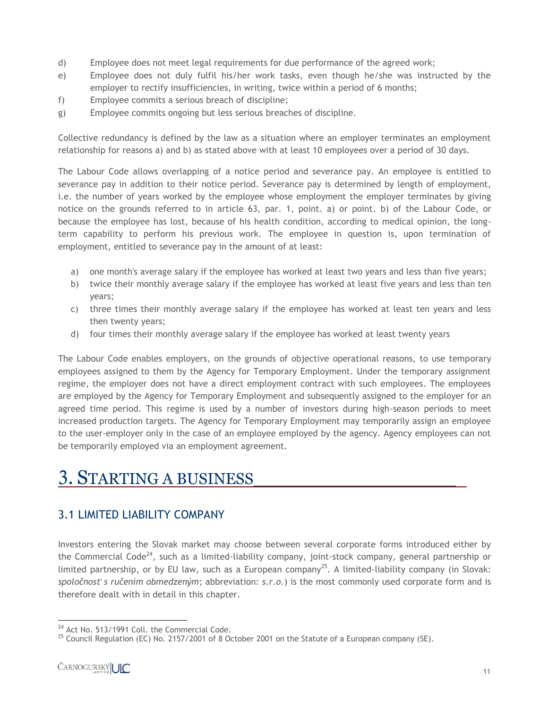- d) Employee does not meet legal requirements for due performance of the agreed work;
- e) Employee does not duly fulfil his/her work tasks, even though he/she was instructed by the employer to rectify insufficiencies, in writing, twice within a period of 6 months;
- f) Employee commits a serious breach of discipline;
- g) Employee commits ongoing but less serious breaches of discipline.

Collective redundancy is defined by the law as a situation where an employer terminates an employment relationship for reasons a) and b) as stated above with at least 10 employees over a period of 30 days.

The Labour Code allows overlapping of a notice period and severance pay. An employee is entitled to severance pay in addition to their notice period. Severance pay is determined by length of employment, i.e. the number of years worked by the employee whose employment the employer terminates by giving notice on the grounds referred to in article 63, par. 1, point. a) or point. b) of the Labour Code, or because the employee has lost, because of his health condition, according to medical opinion, the longterm capability to perform his previous work. The employee in question is, upon termination of employment, entitled to severance pay in the amount of at least:

- a) one month's average salary if the employee has worked at least two years and less than five years;
- b) twice their monthly average salary if the employee has worked at least five years and less than ten years;
- c) three times their monthly average salary if the employee has worked at least ten years and less then twenty years;
- d) four times their monthly average salary if the employee has worked at least twenty years

The Labour Code enables employers, on the grounds of objective operational reasons, to use temporary employees assigned to them by the Agency for Temporary Employment. Under the temporary assignment regime, the employer does not have a direct employment contract with such employees. The employees are employed by the Agency for Temporary Employment and subsequently assigned to the employer for an agreed time period. This regime is used by a number of investors during high-season periods to meet increased production targets. The Agency for Temporary Employment may temporarily assign an employee to the user-employer only in the case of an employee employed by the agency. Agency employees can not be temporarily employed via an employment agreement.

## 3. STARTING A BUSINESS

#### 3.1 LIMITED LIABILITY COMPANY

Investors entering the Slovak market may choose between several corporate forms introduced either by the Commercial Code<sup>24</sup>, such as a limited-liability company, joint-stock company, general partnership or limited partnership, or by EU law, such as a European company<sup>25</sup>. A limited-liability company (in Slovak: *spoločnosť s ručením obmedzeným*; abbreviation: *s.r.o.*) is the most commonly used corporate form and is therefore dealt with in detail in this chapter.

 $\overline{a}$ <sup>24</sup> Act No. 513/1991 Coll. the Commercial Code.

 $^{25}$  Council Regulation (EC) No. 2157/2001 of 8 October 2001 on the Statute of a European company (SE).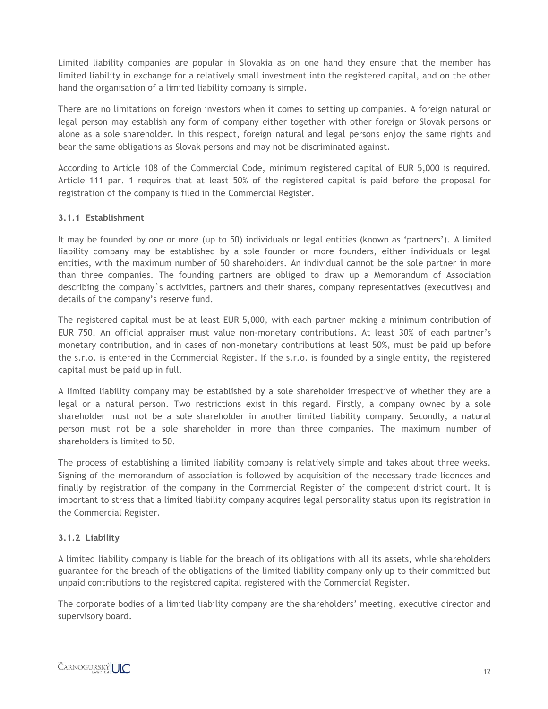Limited liability companies are popular in Slovakia as on one hand they ensure that the member has limited liability in exchange for a relatively small investment into the registered capital, and on the other hand the organisation of a limited liability company is simple.

There are no limitations on foreign investors when it comes to setting up companies. A foreign natural or legal person may establish any form of company either together with other foreign or Slovak persons or alone as a sole shareholder. In this respect, foreign natural and legal persons enjoy the same rights and bear the same obligations as Slovak persons and may not be discriminated against.

According to Article 108 of the Commercial Code, minimum registered capital of EUR 5,000 is required. Article 111 par. 1 requires that at least 50% of the registered capital is paid before the proposal for registration of the company is filed in the Commercial Register.

#### **3.1.1 Establishment**

It may be founded by one or more (up to 50) individuals or legal entities (known as 'partners'). A limited liability company may be established by a sole founder or more founders, either individuals or legal entities, with the maximum number of 50 shareholders. An individual cannot be the sole partner in more than three companies. The founding partners are obliged to draw up a Memorandum of Association describing the company`s activities, partners and their shares, company representatives (executives) and details of the company's reserve fund.

The registered capital must be at least EUR 5,000, with each partner making a minimum contribution of EUR 750. An official appraiser must value non-monetary contributions. At least 30% of each partner's monetary contribution, and in cases of non-monetary contributions at least 50%, must be paid up before the s.r.o. is entered in the Commercial Register. If the s.r.o. is founded by a single entity, the registered capital must be paid up in full.

A limited liability company may be established by a sole shareholder irrespective of whether they are a legal or a natural person. Two restrictions exist in this regard. Firstly, a company owned by a sole shareholder must not be a sole shareholder in another limited liability company. Secondly, a natural person must not be a sole shareholder in more than three companies. The maximum number of shareholders is limited to 50.

The process of establishing a limited liability company is relatively simple and takes about three weeks. Signing of the memorandum of association is followed by acquisition of the necessary trade licences and finally by registration of the company in the Commercial Register of the competent district court. It is important to stress that a limited liability company acquires legal personality status upon its registration in the Commercial Register.

#### **3.1.2 Liability**

A limited liability company is liable for the breach of its obligations with all its assets, while shareholders guarantee for the breach of the obligations of the limited liability company only up to their committed but unpaid contributions to the registered capital registered with the Commercial Register.

The corporate bodies of a limited liability company are the shareholders' meeting, executive director and supervisory board.

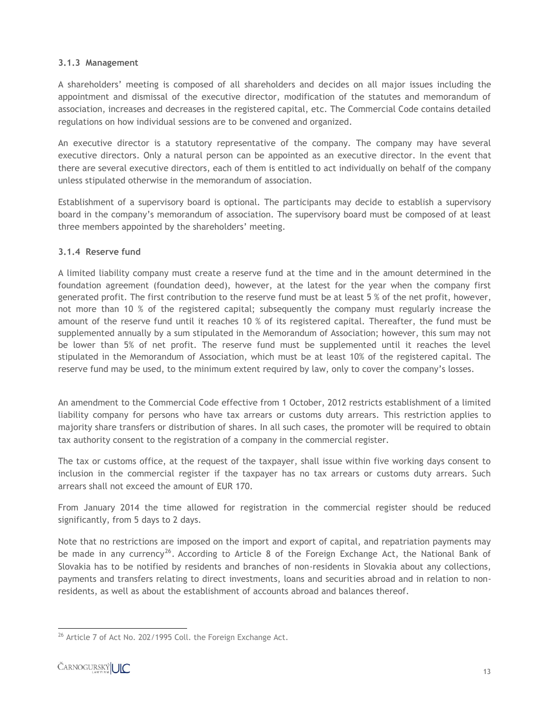#### **3.1.3 Management**

A shareholders' meeting is composed of all shareholders and decides on all major issues including the appointment and dismissal of the executive director, modification of the statutes and memorandum of association, increases and decreases in the registered capital, etc. The Commercial Code contains detailed regulations on how individual sessions are to be convened and organized.

An executive director is a statutory representative of the company. The company may have several executive directors. Only a natural person can be appointed as an executive director. In the event that there are several executive directors, each of them is entitled to act individually on behalf of the company unless stipulated otherwise in the memorandum of association.

Establishment of a supervisory board is optional. The participants may decide to establish a supervisory board in the company's memorandum of association. The supervisory board must be composed of at least three members appointed by the shareholders' meeting.

#### **3.1.4 Reserve fund**

A limited liability company must create a reserve fund at the time and in the amount determined in the foundation agreement (foundation deed), however, at the latest for the year when the company first generated profit. The first contribution to the reserve fund must be at least 5 % of the net profit, however, not more than 10 % of the registered capital; subsequently the company must regularly increase the amount of the reserve fund until it reaches 10 % of its registered capital. Thereafter, the fund must be supplemented annually by a sum stipulated in the Memorandum of Association; however, this sum may not be lower than 5% of net profit. The reserve fund must be supplemented until it reaches the level stipulated in the Memorandum of Association, which must be at least 10% of the registered capital. The reserve fund may be used, to the minimum extent required by law, only to cover the company's losses.

An amendment to the Commercial Code effective from 1 October, 2012 restricts establishment of a limited liability company for persons who have tax arrears or customs duty arrears. This restriction applies to majority share transfers or distribution of shares. In all such cases, the promoter will be required to obtain tax authority consent to the registration of a company in the commercial register.

The tax or customs office, at the request of the taxpayer, shall issue within five working days consent to inclusion in the commercial register if the taxpayer has no tax arrears or customs duty arrears. Such arrears shall not exceed the amount of EUR 170.

From January 2014 the time allowed for registration in the commercial register should be reduced significantly, from 5 days to 2 days.

Note that no restrictions are imposed on the import and export of capital, and repatriation payments may be made in any currency<sup>26</sup>. According to Article 8 of the Foreign Exchange Act, the National Bank of Slovakia has to be notified by residents and branches of non-residents in Slovakia about any collections, payments and transfers relating to direct investments, loans and securities abroad and in relation to nonresidents, as well as about the establishment of accounts abroad and balances thereof.

 $\overline{\phantom{a}}$  $^{26}$  Article 7 of Act No. 202/1995 Coll. the Foreign Exchange Act.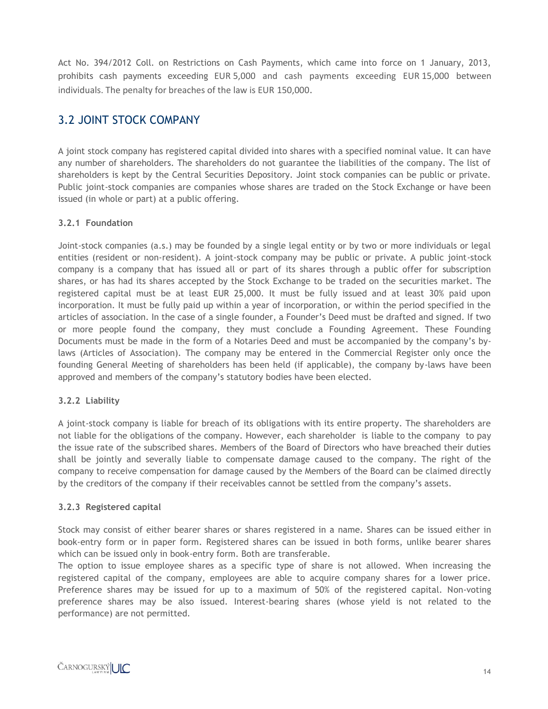Act No. 394/2012 Coll. on Restrictions on Cash Payments, which came into force on 1 January, 2013, prohibits cash payments exceeding EUR 5,000 and cash payments exceeding EUR 15,000 between individuals. The penalty for breaches of the law is EUR 150,000.

#### 3.2 JOINT STOCK COMPANY

A joint stock company has registered capital divided into shares with a specified nominal value. It can have any number of shareholders. The shareholders do not guarantee the liabilities of the company. The list of shareholders is kept by the Central Securities Depository. Joint stock companies can be public or private. Public joint-stock companies are companies whose shares are traded on the Stock Exchange or have been issued (in whole or part) at a public offering.

#### **3.2.1 Foundation**

Joint-stock companies (a.s.) may be founded by a single legal entity or by two or more individuals or legal entities (resident or non-resident). A joint-stock company may be public or private. A public joint-stock company is a company that has issued all or part of its shares through a public offer for subscription shares, or has had its shares accepted by the Stock Exchange to be traded on the securities market. The registered capital must be at least EUR 25,000. It must be fully issued and at least 30% paid upon incorporation. It must be fully paid up within a year of incorporation, or within the period specified in the articles of association. In the case of a single founder, a Founder's Deed must be drafted and signed. If two or more people found the company, they must conclude a Founding Agreement. These Founding Documents must be made in the form of a Notaries Deed and must be accompanied by the company's bylaws (Articles of Association). The company may be entered in the Commercial Register only once the founding General Meeting of shareholders has been held (if applicable), the company by-laws have been approved and members of the company's statutory bodies have been elected.

#### **3.2.2 Liability**

A joint-stock company is liable for breach of its obligations with its entire property. The shareholders are not liable for the obligations of the company. However, each shareholder is liable to the company to pay the issue rate of the subscribed shares. Members of the Board of Directors who have breached their duties shall be jointly and severally liable to compensate damage caused to the company. The right of the company to receive compensation for damage caused by the Members of the Board can be claimed directly by the creditors of the company if their receivables cannot be settled from the company's assets.

#### **3.2.3 Registered capital**

Stock may consist of either bearer shares or shares registered in a name. Shares can be issued either in book-entry form or in paper form. Registered shares can be issued in both forms, unlike bearer shares which can be issued only in book-entry form. Both are transferable.

The option to issue employee shares as a specific type of share is not allowed. When increasing the registered capital of the company, employees are able to acquire company shares for a lower price. Preference shares may be issued for up to a maximum of 50% of the registered capital. Non-voting preference shares may be also issued. Interest-bearing shares (whose yield is not related to the performance) are not permitted.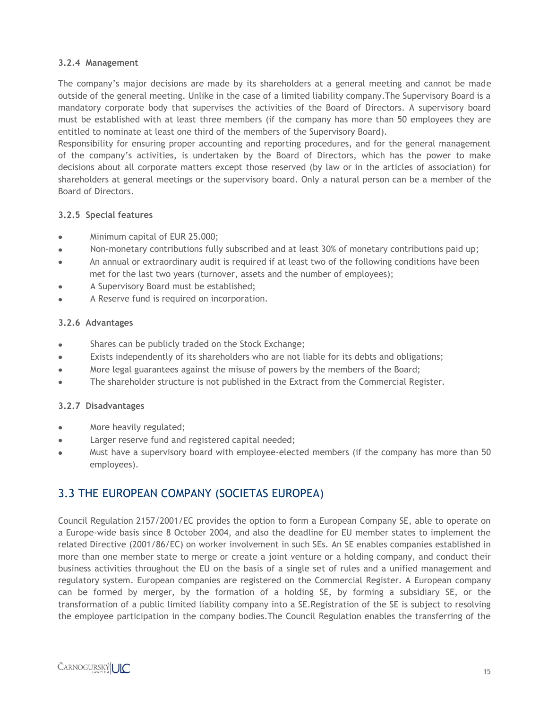#### **3.2.4 Management**

The company's major decisions are made by its shareholders at a general meeting and cannot be made outside of the general meeting. Unlike in the case of a limited liability company.The Supervisory Board is a mandatory corporate body that supervises the activities of the Board of Directors. A supervisory board must be established with at least three members (if the company has more than 50 employees they are entitled to nominate at least one third of the members of the Supervisory Board).

Responsibility for ensuring proper accounting and reporting procedures, and for the general management of the company's activities, is undertaken by the Board of Directors, which has the power to make decisions about all corporate matters except those reserved (by law or in the articles of association) for shareholders at general meetings or the supervisory board. Only a natural person can be a member of the Board of Directors.

#### **3.2.5 Special features**

- Minimum capital of EUR 25.000;  $\bullet$
- $\bullet$ Non-monetary contributions fully subscribed and at least 30% of monetary contributions paid up;
- An annual or extraordinary audit is required if at least two of the following conditions have been  $\bullet$ met for the last two years (turnover, assets and the number of employees);
- A Supervisory Board must be established;  $\bullet$
- $\bullet$ A Reserve fund is required on incorporation.

#### **3.2.6 Advantages**

- Shares can be publicly traded on the Stock Exchange;  $\bullet$
- Exists independently of its shareholders who are not liable for its debts and obligations;  $\bullet$
- More legal guarantees against the misuse of powers by the members of the Board;  $\bullet$
- The shareholder structure is not published in the Extract from the Commercial Register.  $\bullet$

#### **3.2.7 Disadvantages**

- More heavily regulated;
- Larger reserve fund and registered capital needed;  $\bullet$
- Must have a supervisory board with employee-elected members (if the company has more than 50  $\bullet$ employees).

#### 3.3 THE EUROPEAN COMPANY (SOCIETAS EUROPEA)

Council Regulation 2157/2001/EC provides the option to form a European Company SE, able to operate on a Europe-wide basis since 8 October 2004, and also the deadline for EU member states to implement the related Directive (2001/86/EC) on worker involvement in such SEs. An SE enables companies established in more than one member state to merge or create a joint venture or a holding company, and conduct their business activities throughout the EU on the basis of a single set of rules and a unified management and regulatory system. European companies are registered on the Commercial Register. A European company can be formed by merger, by the formation of a holding SE, by forming a subsidiary SE, or the transformation of a public limited liability company into a SE.Registration of the SE is subject to resolving the employee participation in the company bodies.The Council Regulation enables the transferring of the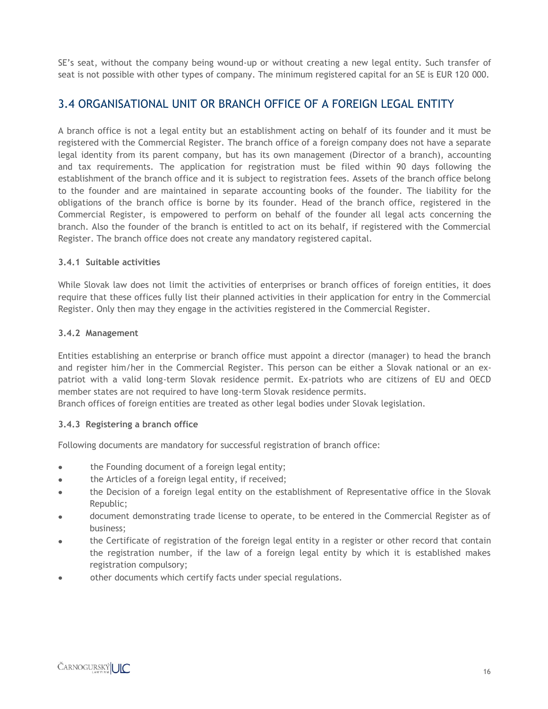SE's seat, without the company being wound-up or without creating a new legal entity. Such transfer of seat is not possible with other types of company. The minimum registered capital for an SE is EUR 120 000.

#### 3.4 ORGANISATIONAL UNIT OR BRANCH OFFICE OF A FOREIGN LEGAL ENTITY

A branch office is not a legal entity but an establishment acting on behalf of its founder and it must be registered with the Commercial Register. The branch office of a foreign company does not have a separate legal identity from its parent company, but has its own management (Director of a branch), accounting and tax requirements. The application for registration must be filed within 90 days following the establishment of the branch office and it is subject to registration fees. Assets of the branch office belong to the founder and are maintained in separate accounting books of the founder. The liability for the obligations of the branch office is borne by its founder. Head of the branch office, registered in the Commercial Register, is empowered to perform on behalf of the founder all legal acts concerning the branch. Also the founder of the branch is entitled to act on its behalf, if registered with the Commercial Register. The branch office does not create any mandatory registered capital.

#### **3.4.1 Suitable activities**

While Slovak law does not limit the activities of enterprises or branch offices of foreign entities, it does require that these offices fully list their planned activities in their application for entry in the Commercial Register. Only then may they engage in the activities registered in the Commercial Register.

#### **3.4.2 Management**

Entities establishing an enterprise or branch office must appoint a director (manager) to head the branch and register him/her in the Commercial Register. This person can be either a Slovak national or an expatriot with a valid long-term Slovak residence permit. Ex-patriots who are citizens of EU and OECD member states are not required to have long-term Slovak residence permits.

Branch offices of foreign entities are treated as other legal bodies under Slovak legislation.

#### **3.4.3 Registering a branch office**

Following documents are mandatory for successful registration of branch office:

- the Founding document of a foreign legal entity;
- $\bullet$ the Articles of a foreign legal entity, if received;
- the Decision of a foreign legal entity on the establishment of Representative office in the Slovak  $\bullet$ Republic;
- document demonstrating trade license to operate, to be entered in the Commercial Register as of business;
- the Certificate of registration of the foreign legal entity in a register or other record that contain the registration number, if the law of a foreign legal entity by which it is established makes registration compulsory;
- other documents which certify facts under special regulations.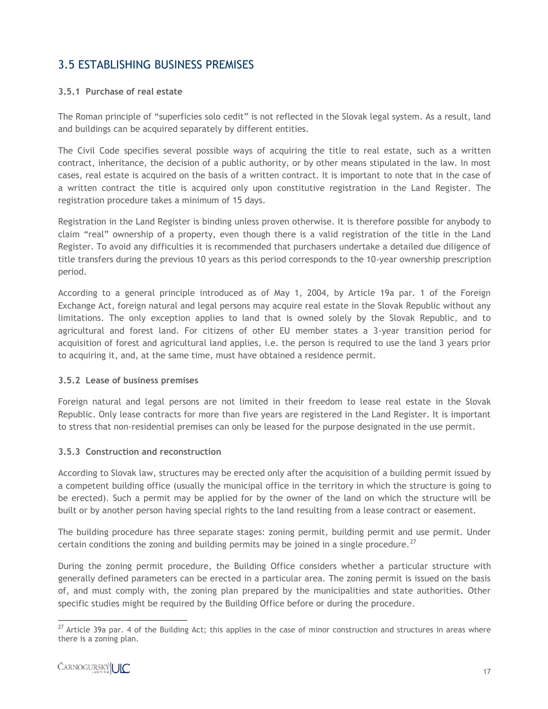#### 3.5 ESTABLISHING BUSINESS PREMISES

#### **3.5.1 Purchase of real estate**

The Roman principle of "superficies solo cedit" is not reflected in the Slovak legal system. As a result, land and buildings can be acquired separately by different entities.

The Civil Code specifies several possible ways of acquiring the title to real estate, such as a written contract, inheritance, the decision of a public authority, or by other means stipulated in the law. In most cases, real estate is acquired on the basis of a written contract. It is important to note that in the case of a written contract the title is acquired only upon constitutive registration in the Land Register. The registration procedure takes a minimum of 15 days.

Registration in the Land Register is binding unless proven otherwise. It is therefore possible for anybody to claim "real" ownership of a property, even though there is a valid registration of the title in the Land Register. To avoid any difficulties it is recommended that purchasers undertake a detailed due diligence of title transfers during the previous 10 years as this period corresponds to the 10-year ownership prescription period.

According to a general principle introduced as of May 1, 2004, by Article 19a par. 1 of the Foreign Exchange Act, foreign natural and legal persons may acquire real estate in the Slovak Republic without any limitations. The only exception applies to land that is owned solely by the Slovak Republic, and to agricultural and forest land. For citizens of other EU member states a 3-year transition period for acquisition of forest and agricultural land applies, i.e. the person is required to use the land 3 years prior to acquiring it, and, at the same time, must have obtained a residence permit.

#### **3.5.2 Lease of business premises**

Foreign natural and legal persons are not limited in their freedom to lease real estate in the Slovak Republic. Only lease contracts for more than five years are registered in the Land Register. It is important to stress that non-residential premises can only be leased for the purpose designated in the use permit.

#### **3.5.3 Construction and reconstruction**

According to Slovak law, structures may be erected only after the acquisition of a building permit issued by a competent building office (usually the municipal office in the territory in which the structure is going to be erected). Such a permit may be applied for by the owner of the land on which the structure will be built or by another person having special rights to the land resulting from a lease contract or easement.

The building procedure has three separate stages: zoning permit, building permit and use permit. Under certain conditions the zoning and building permits may be joined in a single procedure.<sup>27</sup>

During the zoning permit procedure, the Building Office considers whether a particular structure with generally defined parameters can be erected in a particular area. The zoning permit is issued on the basis of, and must comply with, the zoning plan prepared by the municipalities and state authorities. Other specific studies might be required by the Building Office before or during the procedure.

 $\overline{a}$  $^{27}$  Article 39a par. 4 of the Building Act; this applies in the case of minor construction and structures in areas where there is a zoning plan.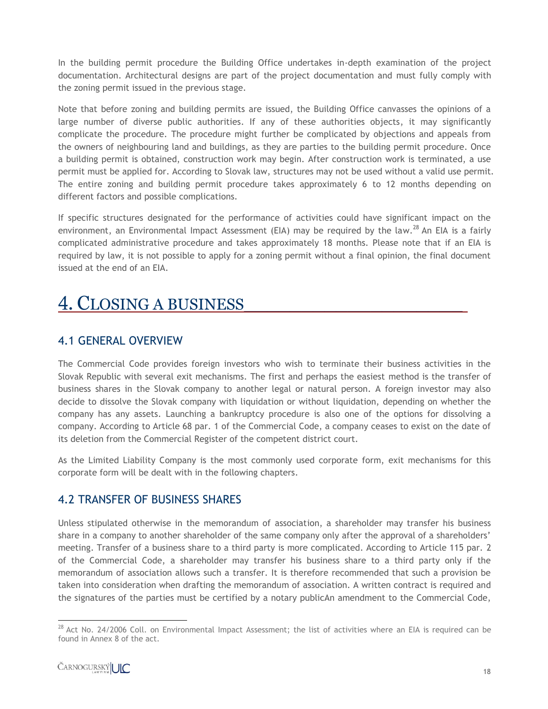In the building permit procedure the Building Office undertakes in-depth examination of the project documentation. Architectural designs are part of the project documentation and must fully comply with the zoning permit issued in the previous stage.

Note that before zoning and building permits are issued, the Building Office canvasses the opinions of a large number of diverse public authorities. If any of these authorities objects, it may significantly complicate the procedure. The procedure might further be complicated by objections and appeals from the owners of neighbouring land and buildings, as they are parties to the building permit procedure. Once a building permit is obtained, construction work may begin. After construction work is terminated, a use permit must be applied for. According to Slovak law, structures may not be used without a valid use permit. The entire zoning and building permit procedure takes approximately 6 to 12 months depending on different factors and possible complications.

If specific structures designated for the performance of activities could have significant impact on the environment, an Environmental Impact Assessment (EIA) may be required by the law.<sup>28</sup> An EIA is a fairly complicated administrative procedure and takes approximately 18 months. Please note that if an EIA is required by law, it is not possible to apply for a zoning permit without a final opinion, the final document issued at the end of an EIA.

## 4. CLOSING A BUSINESS\_\_\_\_\_\_\_\_\_\_\_\_\_\_\_\_\_\_\_.

#### 4.1 GENERAL OVERVIEW

The Commercial Code provides foreign investors who wish to terminate their business activities in the Slovak Republic with several exit mechanisms. The first and perhaps the easiest method is the transfer of business shares in the Slovak company to another legal or natural person. A foreign investor may also decide to dissolve the Slovak company with liquidation or without liquidation, depending on whether the company has any assets. Launching a bankruptcy procedure is also one of the options for dissolving a company. According to Article 68 par. 1 of the Commercial Code, a company ceases to exist on the date of its deletion from the Commercial Register of the competent district court.

As the Limited Liability Company is the most commonly used corporate form, exit mechanisms for this corporate form will be dealt with in the following chapters.

#### 4.2 TRANSFER OF BUSINESS SHARES

Unless stipulated otherwise in the memorandum of association, a shareholder may transfer his business share in a company to another shareholder of the same company only after the approval of a shareholders' meeting. Transfer of a business share to a third party is more complicated. According to Article 115 par. 2 of the Commercial Code, a shareholder may transfer his business share to a third party only if the memorandum of association allows such a transfer. It is therefore recommended that such a provision be taken into consideration when drafting the memorandum of association. A written contract is required and the signatures of the parties must be certified by a notary publicAn amendment to the Commercial Code,

 $\overline{a}$  $^{28}$  Act No. 24/2006 Coll. on Environmental Impact Assessment; the list of activities where an EIA is required can be found in Annex 8 of the act.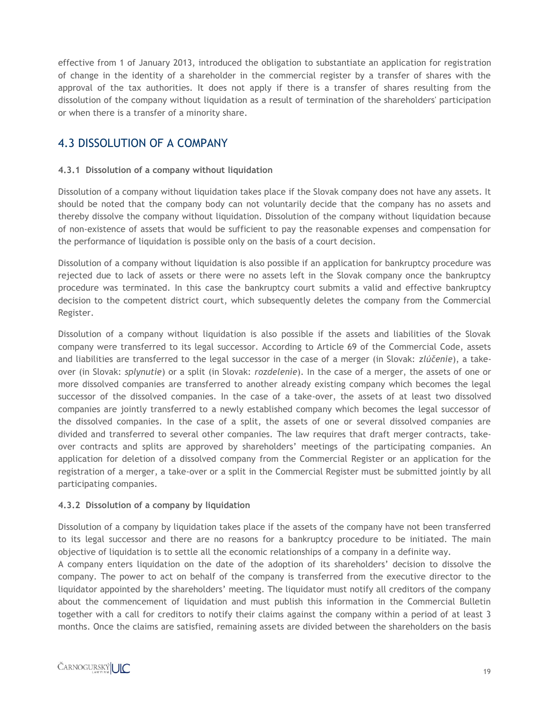effective from 1 of January 2013, introduced the obligation to substantiate an application for registration of change in the identity of a shareholder in the commercial register by a transfer of shares with the approval of the tax authorities. It does not apply if there is a transfer of shares resulting from the dissolution of the company without liquidation as a result of termination of the shareholders' participation or when there is a transfer of a minority share.

#### 4.3 DISSOLUTION OF A COMPANY

#### **4.3.1 Dissolution of a company without liquidation**

Dissolution of a company without liquidation takes place if the Slovak company does not have any assets. It should be noted that the company body can not voluntarily decide that the company has no assets and thereby dissolve the company without liquidation. Dissolution of the company without liquidation because of non-existence of assets that would be sufficient to pay the reasonable expenses and compensation for the performance of liquidation is possible only on the basis of a court decision.

Dissolution of a company without liquidation is also possible if an application for bankruptcy procedure was rejected due to lack of assets or there were no assets left in the Slovak company once the bankruptcy procedure was terminated. In this case the bankruptcy court submits a valid and effective bankruptcy decision to the competent district court, which subsequently deletes the company from the Commercial Register.

Dissolution of a company without liquidation is also possible if the assets and liabilities of the Slovak company were transferred to its legal successor. According to Article 69 of the Commercial Code, assets and liabilities are transferred to the legal successor in the case of a merger (in Slovak: *zlúčenie*), a takeover (in Slovak: *splynutie*) or a split (in Slovak: *rozdelenie*). In the case of a merger, the assets of one or more dissolved companies are transferred to another already existing company which becomes the legal successor of the dissolved companies. In the case of a take-over, the assets of at least two dissolved companies are jointly transferred to a newly established company which becomes the legal successor of the dissolved companies. In the case of a split, the assets of one or several dissolved companies are divided and transferred to several other companies. The law requires that draft merger contracts, takeover contracts and splits are approved by shareholders' meetings of the participating companies. An application for deletion of a dissolved company from the Commercial Register or an application for the registration of a merger, a take-over or a split in the Commercial Register must be submitted jointly by all participating companies.

#### **4.3.2 Dissolution of a company by liquidation**

Dissolution of a company by liquidation takes place if the assets of the company have not been transferred to its legal successor and there are no reasons for a bankruptcy procedure to be initiated. The main objective of liquidation is to settle all the economic relationships of a company in a definite way.

A company enters liquidation on the date of the adoption of its shareholders' decision to dissolve the company. The power to act on behalf of the company is transferred from the executive director to the liquidator appointed by the shareholders' meeting. The liquidator must notify all creditors of the company about the commencement of liquidation and must publish this information in the Commercial Bulletin together with a call for creditors to notify their claims against the company within a period of at least 3 months. Once the claims are satisfied, remaining assets are divided between the shareholders on the basis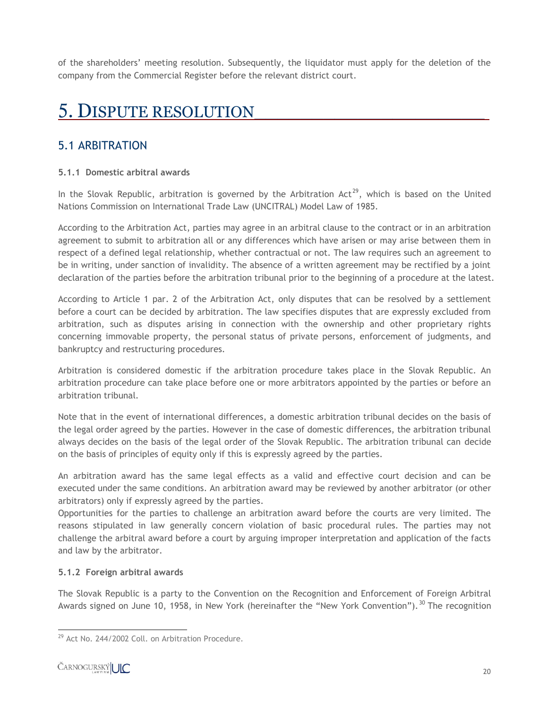of the shareholders' meeting resolution. Subsequently, the liquidator must apply for the deletion of the company from the Commercial Register before the relevant district court.

## 5. DISPUTE RESOLUTION\_\_\_\_\_\_\_\_\_\_\_\_\_\_\_\_\_\_\_\_.

#### 5.1 ARBITRATION

#### **5.1.1 Domestic arbitral awards**

In the Slovak Republic, arbitration is governed by the Arbitration Act<sup>29</sup>, which is based on the United Nations Commission on International Trade Law (UNCITRAL) Model Law of 1985.

According to the Arbitration Act, parties may agree in an arbitral clause to the contract or in an arbitration agreement to submit to arbitration all or any differences which have arisen or may arise between them in respect of a defined legal relationship, whether contractual or not. The law requires such an agreement to be in writing, under sanction of invalidity. The absence of a written agreement may be rectified by a joint declaration of the parties before the arbitration tribunal prior to the beginning of a procedure at the latest.

According to Article 1 par. 2 of the Arbitration Act, only disputes that can be resolved by a settlement before a court can be decided by arbitration. The law specifies disputes that are expressly excluded from arbitration, such as disputes arising in connection with the ownership and other proprietary rights concerning immovable property, the personal status of private persons, enforcement of judgments, and bankruptcy and restructuring procedures.

Arbitration is considered domestic if the arbitration procedure takes place in the Slovak Republic. An arbitration procedure can take place before one or more arbitrators appointed by the parties or before an arbitration tribunal.

Note that in the event of international differences, a domestic arbitration tribunal decides on the basis of the legal order agreed by the parties. However in the case of domestic differences, the arbitration tribunal always decides on the basis of the legal order of the Slovak Republic. The arbitration tribunal can decide on the basis of principles of equity only if this is expressly agreed by the parties.

An arbitration award has the same legal effects as a valid and effective court decision and can be executed under the same conditions. An arbitration award may be reviewed by another arbitrator (or other arbitrators) only if expressly agreed by the parties.

Opportunities for the parties to challenge an arbitration award before the courts are very limited. The reasons stipulated in law generally concern violation of basic procedural rules. The parties may not challenge the arbitral award before a court by arguing improper interpretation and application of the facts and law by the arbitrator.

#### **5.1.2 Foreign arbitral awards**

The Slovak Republic is a party to the Convention on the Recognition and Enforcement of Foreign Arbitral Awards signed on June 10, 1958, in New York (hereinafter the "New York Convention").<sup>30</sup> The recognition

 $\overline{\phantom{a}}$ <sup>29</sup> Act No. 244/2002 Coll. on Arbitration Procedure.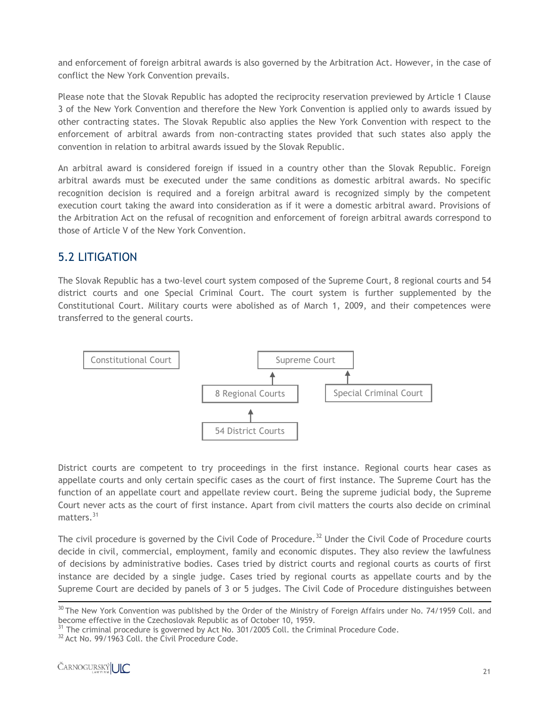and enforcement of foreign arbitral awards is also governed by the Arbitration Act. However, in the case of conflict the New York Convention prevails.

Please note that the Slovak Republic has adopted the reciprocity reservation previewed by Article 1 Clause 3 of the New York Convention and therefore the New York Convention is applied only to awards issued by other contracting states. The Slovak Republic also applies the New York Convention with respect to the enforcement of arbitral awards from non-contracting states provided that such states also apply the convention in relation to arbitral awards issued by the Slovak Republic.

An arbitral award is considered foreign if issued in a country other than the Slovak Republic. Foreign arbitral awards must be executed under the same conditions as domestic arbitral awards. No specific recognition decision is required and a foreign arbitral award is recognized simply by the competent execution court taking the award into consideration as if it were a domestic arbitral award. Provisions of the Arbitration Act on the refusal of recognition and enforcement of foreign arbitral awards correspond to those of Article V of the New York Convention.

#### 5.2 LITIGATION

The Slovak Republic has a two-level court system composed of the Supreme Court, 8 regional courts and 54 district courts and one Special Criminal Court. The court system is further supplemented by the Constitutional Court. Military courts were abolished as of March 1, 2009, and their competences were transferred to the general courts.



District courts are competent to try proceedings in the first instance. Regional courts hear cases as appellate courts and only certain specific cases as the court of first instance. The Supreme Court has the function of an appellate court and appellate review court. Being the supreme judicial body, the Supreme Court never acts as the court of first instance. Apart from civil matters the courts also decide on criminal matters.<sup>31</sup>

The civil procedure is governed by the Civil Code of Procedure.<sup>32</sup> Under the Civil Code of Procedure courts decide in civil, commercial, employment, family and economic disputes. They also review the lawfulness of decisions by administrative bodies. Cases tried by district courts and regional courts as courts of first instance are decided by a single judge. Cases tried by regional courts as appellate courts and by the Supreme Court are decided by panels of 3 or 5 judges. The Civil Code of Procedure distinguishes between

l  $30$  The New York Convention was published by the Order of the Ministry of Foreign Affairs under No. 74/1959 Coll. and become effective in the Czechoslovak Republic as of October 10, 1959.

 $31$  The criminal procedure is governed by Act No. 301/2005 Coll. the Criminal Procedure Code.

<sup>&</sup>lt;sup>32</sup> Act No. 99/1963 Coll. the Civil Procedure Code.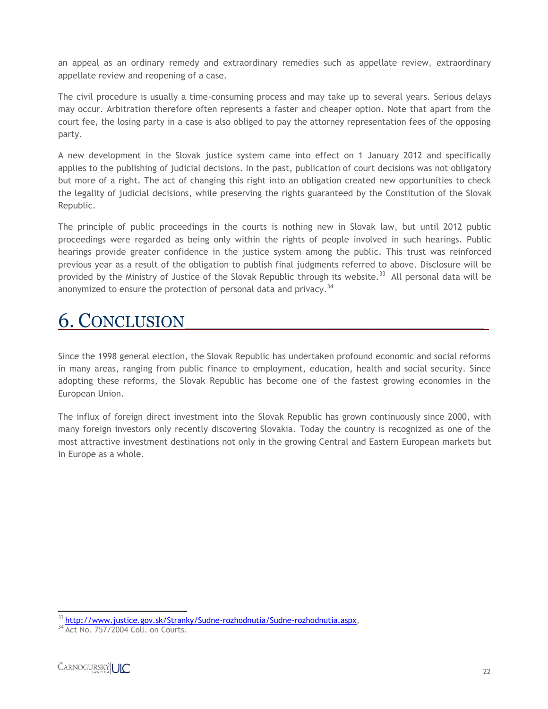an appeal as an ordinary remedy and extraordinary remedies such as appellate review, extraordinary appellate review and reopening of a case.

The civil procedure is usually a time-consuming process and may take up to several years. Serious delays may occur. Arbitration therefore often represents a faster and cheaper option. Note that apart from the court fee, the losing party in a case is also obliged to pay the attorney representation fees of the opposing party.

A new development in the Slovak justice system came into effect on 1 January 2012 and specifically applies to the publishing of judicial decisions. In the past, publication of court decisions was not obligatory but more of a right. The act of changing this right into an obligation created new opportunities to check the legality of judicial decisions, while preserving the rights guaranteed by the Constitution of the Slovak Republic.

The principle of public proceedings in the courts is nothing new in Slovak law, but until 2012 public proceedings were regarded as being only within the rights of people involved in such hearings. Public hearings provide greater confidence in the justice system among the public. This trust was reinforced previous year as a result of the obligation to publish final judgments referred to above. Disclosure will be provided by the Ministry of Justice of the Slovak Republic through its website.<sup>33</sup> All personal data will be anonymized to ensure the protection of personal data and privacy.<sup>34</sup>

## 6. CONCLUSION

Since the 1998 general election, the Slovak Republic has undertaken profound economic and social reforms in many areas, ranging from public finance to employment, education, health and social security. Since adopting these reforms, the Slovak Republic has become one of the fastest growing economies in the European Union.

The influx of foreign direct investment into the Slovak Republic has grown continuously since 2000, with many foreign investors only recently discovering Slovakia. Today the country is recognized as one of the most attractive investment destinations not only in the growing Central and Eastern European markets but in Europe as a whole.

 $\overline{a}$ <sup>33</sup> [http://www.justice.gov.sk/Stranky/Sudne-rozhodnutia/Sudne-rozhodnutia.aspx,](http://www.justice.gov.sk/Stranky/Sudne-rozhodnutia/Sudne-rozhodnutia.aspx)

<sup>&</sup>lt;sup>34</sup> Act No. 757/2004 Coll. on Courts.